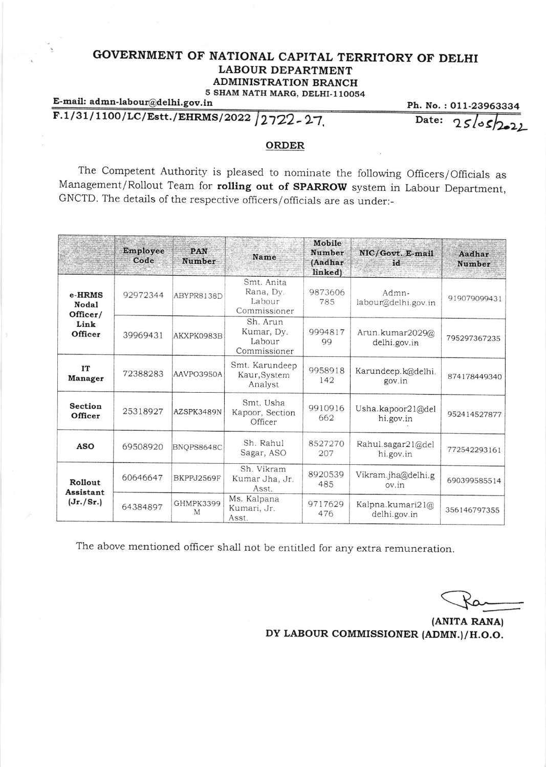## GOVERNMENT OF NATIONAL CAPITAL TERRITORY OF DELHI LABOUR DEPARTMENT ADMINISTRATION BRANCH 5 SHAM NATH MARG, DELHI-110054

## E-mail: admn-labour@delhi.gov.in  $F.1/31/1100/LC/Est.$ /EHRMS/2022 2722-27,

Ph. No. : 011-23963334<br>Date:  $25/222$ 

## ORDER

The Competent Authority is pleased to nominate the following Officers/Officials as Management/Rollout Team for rolling out of SPARROW system in Labour Department, GNCTD. The details of the respective officers / officials are as under:-

|                                                | <b>Employee</b><br>Code | <b>PAN</b><br>Number | <b>Name</b>                                       | Mobile<br><b>Number</b><br>(Aadhar<br>linked) | NIC/Govt. E-mail<br>id             | Aadhar<br><b>Number</b> |
|------------------------------------------------|-------------------------|----------------------|---------------------------------------------------|-----------------------------------------------|------------------------------------|-------------------------|
| e-HRMS<br>Nodal<br>Officer/<br>Link<br>Officer | 92972344                | ABYPR8138D           | Smt. Anita<br>Rana, Dv.<br>Labour<br>Commissioner | 9873606<br>785                                | Admn-<br>labour@delhi.gov.in       | 919079099431            |
|                                                | 39969431                | AKXPK0983B           | Sh. Arun<br>Kumar, Dv.<br>Labour<br>Commissioner  | 9994817<br>99                                 | Arun.kumar2029@<br>delhi.gov.in    | 795297367235            |
| IT<br><b>Manager</b>                           | 72388283                | AAVPO3950A           | Smt. Karundeep<br>Kaur, System<br>Analyst         | 9958918<br>142                                | Karundeep.k@delhi.<br>gov.in       | 874178449340            |
| <b>Section</b><br>Officer                      | 25318927                | AZSPK3489N           | Smt. Usha<br>Kapoor, Section<br>Officer           | 9910916<br>662                                | Usha.kapoor $21$ @del<br>hi.gov.in | 952414527877            |
| <b>ASO</b>                                     | 69508920                | BNQPS8648C           | Sh. Rahul<br>Sagar, ASO                           | 8527270<br>207                                | Rahul.sagar21@del<br>hi.gov.in     | 772542293161            |
| Rollout<br>Assistant<br>(Jr./Sr.)              | 60646647                | BKPPJ2569F           | Sh. Vikram<br>Kumar Jha, Jr.<br>Asst.             | 8920539<br>485                                | Vikram.jha@delhi.g<br>ov.in        | 690399585514            |
|                                                | 64384897                | GHMPK3399<br>M       | Ms. Kalpana<br>Kumari, Jr.<br>Asst.               | 9717629<br>476                                | Kalpna.kumari21@<br>delhi.gov.in   | 356146797355            |

The above mentioned officer shall not be entitled for any extra remuneration.

(ANITA RANA) DY LABOUR COMMISSIONER (ADMN.)/ H.O.O.